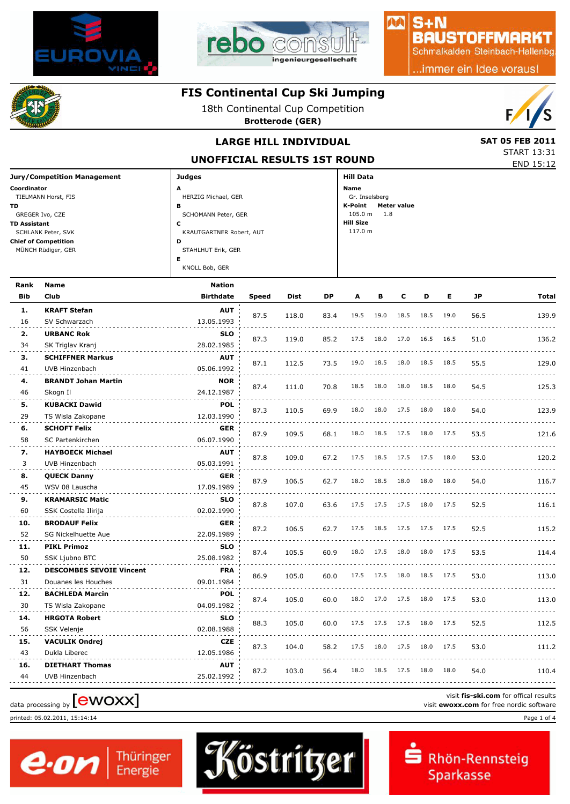



### $S + N$ **BAUSTOFFMARKT**

MA

Schmalkalden Steinbach-Hallenbg

..immer ein Idee voraus!

# **FIS Continental Cup Ski Jumping**

18th Continental Cup Competition

**Brotterode (GER)**



START 13:31

### **LARGE HILL INDIVIDUAL** SAT 05 FEB 2011

**UNOFFICIAL RESULTS 1ST ROUND**

|                                    |                          | UNUFFICIAL RESULIS ISI RUUND  |  |  |  |  |  |  |  |
|------------------------------------|--------------------------|-------------------------------|--|--|--|--|--|--|--|
| <b>Jury/Competition Management</b> | Judges                   | <b>Hill Data</b>              |  |  |  |  |  |  |  |
| Coordinator                        | A                        | Name                          |  |  |  |  |  |  |  |
| TIELMANN Horst, FIS                | HERZIG Michael, GER      | Gr. Inselsberg                |  |  |  |  |  |  |  |
| <b>TD</b>                          | в                        | <b>Meter value</b><br>K-Point |  |  |  |  |  |  |  |
| GREGER Ivo, CZE                    | SCHOMANN Peter, GER      | $105.0 m$ 1.8                 |  |  |  |  |  |  |  |
| <b>TD Assistant</b>                | с                        | <b>Hill Size</b>              |  |  |  |  |  |  |  |
| SCHLANK Peter, SVK                 | KRAUTGARTNER Robert, AUT | 117.0 m                       |  |  |  |  |  |  |  |
| <b>Chief of Competition</b>        | D                        |                               |  |  |  |  |  |  |  |
| MÜNCH Rüdiger, GER                 | STAHLHUT Erik, GER       |                               |  |  |  |  |  |  |  |
|                                    | Е                        |                               |  |  |  |  |  |  |  |
|                                    | KNOLL Bob, GER           |                               |  |  |  |  |  |  |  |
|                                    |                          |                               |  |  |  |  |  |  |  |

| Rank       | <b>Name</b>                       | <b>Nation</b>    |              |       |      |      |      |      |           |      |      |                                          |
|------------|-----------------------------------|------------------|--------------|-------|------|------|------|------|-----------|------|------|------------------------------------------|
| <b>Bib</b> | Club                              | <b>Birthdate</b> | <b>Speed</b> | Dist  | DP   | A    | в    | C    | D         | Е    | JP   | Total                                    |
| 1.         | <b>KRAFT Stefan</b>               | <b>AUT</b>       |              |       |      | 19.5 | 19.0 | 18.5 | 18.5      | 19.0 |      |                                          |
| 16         | SV Schwarzach                     | 13.05.1993       | 87.5         | 118.0 | 83.4 |      |      |      |           |      | 56.5 | 139.9                                    |
| 2.         | <b>URBANC Rok</b>                 | <b>SLO</b>       |              |       |      | 17.5 | 18.0 | 17.0 | 16.5      | 16.5 |      |                                          |
| 34         | SK Triglav Kranj                  | 28.02.1985       | 87.3         | 119.0 | 85.2 |      |      |      |           |      | 51.0 | 136.2                                    |
| з.         | <b>SCHIFFNER Markus</b>           | AUT              |              |       | 73.5 | 19.0 | 18.5 | 18.0 | 18.5 18.5 |      | 55.5 |                                          |
| 41         | UVB Hinzenbach                    | 05.06.1992       | 87.1         | 112.5 |      |      |      |      |           |      |      | 129.0                                    |
| 4.         | <b>BRANDT Johan Martin</b>        | <b>NOR</b>       | 87.4         | 111.0 | 70.8 | 18.5 | 18.0 | 18.0 | 18.5      | 18.0 | 54.5 | 125.3                                    |
| 46         | Skogn II                          | 24.12.1987       |              |       |      |      |      |      |           |      |      |                                          |
| 5.         | <b>KUBACKI Dawid</b>              | <b>POL</b>       | 87.3         | 110.5 | 69.9 | 18.0 | 18.0 | 17.5 | 18.0      | 18.0 | 54.0 | 123.9                                    |
| 29         | TS Wisla Zakopane                 | 12.03.1990       |              |       |      |      |      |      |           |      |      |                                          |
| 6.         | <b>SCHOFT Felix</b>               | <b>GER</b>       | 87.9         | 109.5 | 68.1 | 18.0 | 18.5 | 17.5 | 18.0      | 17.5 | 53.5 | 121.6                                    |
| 58         | SC Partenkirchen                  | 06.07.1990       |              |       |      |      |      |      |           |      |      |                                          |
| 7.         | <b>HAYBOECK Michael</b>           | AUT              | 87.8         | 109.0 | 67.2 | 17.5 | 18.5 | 17.5 | 17.5      | 18.0 | 53.0 | 120.2                                    |
| 3          | UVB Hinzenbach                    | 05.03.1991       |              |       |      |      |      |      |           |      |      |                                          |
| 8.         | <b>QUECK Danny</b>                | <b>GER</b>       | 87.9         | 106.5 | 62.7 | 18.0 | 18.5 | 18.0 | 18.0      | 18.0 | 54.0 | 116.7                                    |
| 45         | WSV 08 Lauscha                    | 17.09.1989       |              |       |      |      |      |      |           |      |      |                                          |
| 9.         | <b>KRAMARSIC Matic</b>            | <b>SLO</b>       | 87.8         | 107.0 | 63.6 | 17.5 | 17.5 | 17.5 | 18.0      | 17.5 | 52.5 | 116.1                                    |
| 60         | SSK Costella Ilirija              | 02.02.1990       |              |       |      |      |      |      |           |      |      |                                          |
| 10.        | <b>BRODAUF Felix</b>              | <b>GER</b>       | 87.2         | 106.5 | 62.7 | 17.5 | 18.5 | 17.5 | 17.5      | 17.5 | 52.5 | 115.2                                    |
| 52         | SG Nickelhuette Aue               | 22.09.1989       |              |       |      |      |      |      |           |      |      |                                          |
| 11.        | <b>PIKL Primoz</b>                | <b>SLO</b>       | 87.4         | 105.5 | 60.9 | 18.0 | 17.5 | 18.0 | 18.0      | 17.5 | 53.5 | 114.4                                    |
| 50         | <b>SSK Ljubno BTC</b>             | 25.08.1982       |              |       |      |      |      |      |           |      |      |                                          |
| 12.        | <b>DESCOMBES SEVOIE Vincent</b>   | <b>FRA</b>       | 86.9         | 105.0 | 60.0 | 17.5 | 17.5 | 18.0 | 18.5      | 17.5 | 53.0 | 113.0                                    |
| 31         | Douanes les Houches               | 09.01.1984       |              |       |      |      |      |      |           |      |      |                                          |
| 12.        | <b>BACHLEDA Marcin</b>            | <b>POL</b>       | 87.4         | 105.0 | 60.0 | 18.0 | 17.0 | 17.5 | 18.0      | 17.5 | 53.0 | 113.0                                    |
| 30         | TS Wisla Zakopane                 | 04.09.1982       |              |       |      |      |      |      |           |      |      |                                          |
| 14.        | <b>HRGOTA Robert</b>              | <b>SLO</b>       | 88.3         | 105.0 | 60.0 | 17.5 | 17.5 | 17.5 | 18.0      | 17.5 | 52.5 | 112.5                                    |
| 56         | <b>SSK Velenje</b>                | 02.08.1988       |              |       |      |      |      |      |           |      |      |                                          |
| 15.        | <b>VACULIK Ondrej</b>             | <b>CZE</b>       | 87.3         | 104.0 | 58.2 | 17.5 | 18.0 | 17.5 | 18.0      | 17.5 | 53.0 | 111.2                                    |
| 43         | Dukla Liberec                     | 12.05.1986       |              |       |      |      |      |      |           |      |      |                                          |
| 16.        | <b>DIETHART Thomas</b>            | <b>AUT</b>       | 87.2         | 103.0 | 56.4 | 18.0 | 18.5 | 17.5 | 18.0      | 18.0 | 54.0 | 110.4                                    |
| 44         | UVB Hinzenbach                    | 25.02.1992       |              |       |      |      |      |      |           |      |      |                                          |
|            |                                   |                  |              |       |      |      |      |      |           |      |      | visit fis-ski.com for offical results    |
|            | data processing by <b>[CWOXX]</b> |                  |              |       |      |      |      |      |           |      |      | visit ewoxx.com for free nordic software |

printed: 05.02.2011, 15:14:14 Page 1 of 4





Rhön-Rennsteig Sparkasse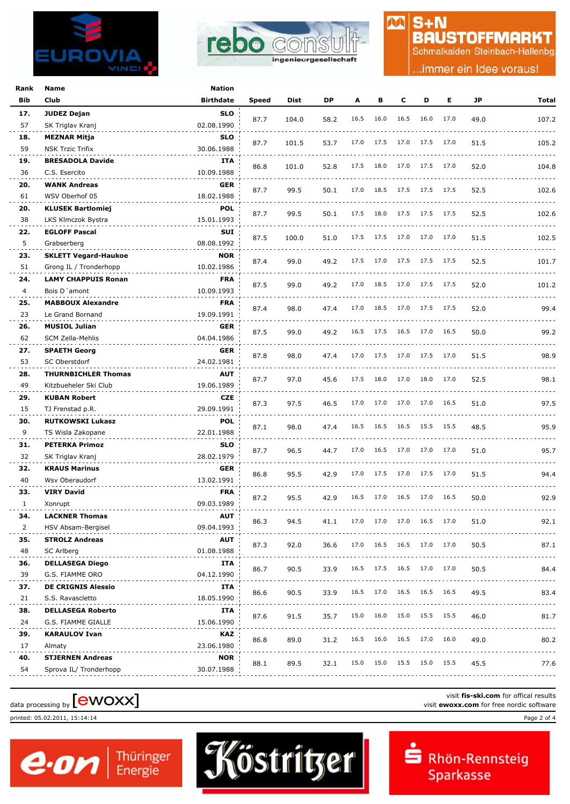



# $S + N$ **BAUSTOFFMARKT**

M

Schmalkalden Steinbach-Hallenbg

.immer ein Idee voraus!

| Rank           | Name                        | <b>Nation</b>    |              |       |      |      |      |      |           |      |      |       |
|----------------|-----------------------------|------------------|--------------|-------|------|------|------|------|-----------|------|------|-------|
| Bib            | Club                        | <b>Birthdate</b> | <b>Speed</b> | Dist  | DP   | A    | в    | c    | D         | Е    | JP   | Total |
| 17.            | <b>JUDEZ Dejan</b>          | <b>SLO</b>       |              |       |      |      |      |      |           |      |      |       |
| 57             | SK Triglav Kranj            | 02.08.1990       | 87.7         | 104.0 | 58.2 | 16.5 | 16.0 | 16.5 | 16.0      | 17.0 | 49.0 | 107.2 |
| 18.            | MEZNAR Mitja                | <b>SLO</b>       |              |       |      |      |      |      |           |      |      |       |
| 59             | NSK Trzic Trifix            | 30.06.1988       | 87.7         | 101.5 | 53.7 | 17.0 | 17.5 | 17.0 | 17.5      | 17.0 | 51.5 | 105.2 |
| 19.            | <b>BRESADOLA Davide</b>     | ITA              |              |       |      |      |      |      |           |      |      |       |
| 36             | C.S. Esercito               | 10.09.1988       | 86.8         | 101.0 | 52.8 | 17.5 | 18.0 | 17.0 | 17.5      | 17.0 | 52.0 | 104.8 |
| 20.            | <b>WANK Andreas</b>         | GER              |              |       |      |      |      |      |           |      |      |       |
| 61             | WSV Oberhof 05              | 18.02.1988       | 87.7         | 99.5  | 50.1 | 17.0 | 18.5 | 17.5 | 17.5      | 17.5 | 52.5 | 102.6 |
| 20.            | <b>KLUSEK Bartlomiej</b>    | <b>POL</b>       |              |       |      |      |      |      |           |      |      |       |
| 38             | LKS Klmczok Bystra          | 15.01.1993       | 87.7         | 99.5  | 50.1 | 17.5 | 18.0 | 17.5 | 17.5 17.5 |      | 52.5 | 102.6 |
| 22.            | <b>EGLOFF Pascal</b>        | SUI              |              |       |      |      |      |      |           |      |      |       |
| 5              | Grabserberg                 | 08.08.1992       | 87.5         | 100.0 | 51.0 | 17.5 | 17.5 | 17.0 | 17.0 17.0 |      | 51.5 | 102.5 |
| 23.            | <b>SKLETT Vegard-Haukoe</b> | <b>NOR</b>       |              |       |      |      |      |      |           |      |      |       |
| 51             | Grong IL / Tronderhopp      | 10.02.1986       | 87.4         | 99.0  | 49.2 | 17.5 | 17.0 | 17.5 | 17.5 17.5 |      | 52.5 | 101.7 |
| 24.            | <b>LAMY CHAPPUIS Ronan</b>  | <b>FRA</b>       |              |       |      |      |      |      |           |      |      |       |
| 4              | Bois D'amont                | 10.09.1993       | 87.5         | 99.0  | 49.2 | 17.0 | 18.5 | 17.0 | 17.5 17.5 |      | 52.0 | 101.2 |
| 25.            | <b>MABBOUX Alexandre</b>    | <b>FRA</b>       |              |       |      |      |      |      |           |      |      |       |
| 23             | Le Grand Bornand            | 19.09.1991       | 87.4         | 98.0  | 47.4 | 17.0 | 18.5 | 17.0 | 17.5 17.5 |      | 52.0 | 99.4  |
| 26.            | <b>MUSIOL Julian</b>        | <b>GER</b>       |              |       |      |      |      |      |           |      |      |       |
| 62             | SCM Zella-Mehlis            | 04.04.1986       | 87.5         | 99.0  | 49.2 | 16.5 | 17.5 | 16.5 | 17.0      | 16.5 | 50.0 | 99.2  |
| 27.            | <b>SPAETH Georg</b>         | <b>GER</b>       |              |       |      |      |      |      |           |      |      |       |
| 53             | SC Oberstdorf               | 24.02.1981       | 87.8         | 98.0  | 47.4 | 17.0 | 17.5 | 17.0 | 17.5      | 17.0 | 51.5 | 98.9  |
| 28.            | <b>THURNBICHLER Thomas</b>  | <b>AUT</b>       |              |       |      |      |      |      |           |      |      |       |
| 49             | Kitzbueheler Ski Club       | 19.06.1989       | 87.7         | 97.0  | 45.6 | 17.5 | 18.0 | 17.0 | 18.0      | 17.0 | 52.5 | 98.1  |
| 29.            | <b>KUBAN Robert</b>         | <b>CZE</b>       |              |       |      |      |      |      |           |      |      |       |
| 15             | TJ Frenstad p.R.            | 29.09.1991       | 87.3         | 97.5  | 46.5 | 17.0 | 17.0 | 17.0 | 17.0      | 16.5 | 51.0 | 97.5  |
| 30.            | <b>RUTKOWSKI Lukasz</b>     | <b>POL</b>       |              |       |      |      |      |      |           |      |      |       |
| 9              | TS Wisla Zakopane           | 22.01.1988       | 87.1         | 98.0  | 47.4 | 16.5 | 16.5 | 16.5 | 15.5 15.5 |      | 48.5 | 95.9  |
| 31.            | <b>PETERKA Primoz</b>       | <b>SLO</b>       |              |       |      |      |      |      |           |      |      |       |
| 32             | SK Triglav Kranj            | 28.02.1979       | 87.7         | 96.5  | 44.7 | 17.0 | 16.5 | 17.0 | 17.0      | 17.0 | 51.0 | 95.7  |
| 32.            | <b>KRAUS Marinus</b>        | <b>GER</b>       |              |       |      |      |      |      |           |      |      |       |
| 40             | Wsv Oberaudorf              | 13.02.1991       | 86.8         | 95.5  | 42.9 | 17.0 | 17.5 | 17.0 | 17.5      | 17.0 | 51.5 | 94.4  |
| 33.            | <b>VIRY David</b>           | <b>FRA</b>       |              |       |      |      |      |      |           |      |      |       |
| 1              | Xonrupt                     | 09.03.1989       | 87.2         | 95.5  | 42.9 | 16.5 | 17.0 | 16.5 | 17.0      | 16.5 | 50.0 | 92.9  |
| 34.            | <b>LACKNER INOMAS</b>       | <b>AUI</b>       |              |       |      |      |      |      |           |      |      |       |
| $\overline{2}$ | HSV Absam-Bergisel          | 09.04.1993       | 86.3         | 94.5  | 41.1 | 17.0 | 17.0 | 17.0 | 16.5 17.0 |      | 51.0 | 92.1  |
| 35.            | <b>STROLZ Andreas</b>       | AUT              |              |       |      |      |      |      |           |      |      |       |
| 48             | SC Arlberg                  | 01.08.1988       | 87.3         | 92.0  | 36.6 | 17.0 | 16.5 | 16.5 | 17.0      | 17.0 | 50.5 | 87.1  |
| 36.            | <b>DELLASEGA Diego</b>      | ITA              |              |       |      |      |      |      |           |      |      |       |
| 39             | G.S. FIAMME ORO             | 04.12.1990       | 86.7         | 90.5  | 33.9 | 16.5 | 17.5 | 16.5 | 17.0      | 17.0 | 50.5 | 84.4  |
| 37.            | <b>DE CRIGNIS Alessio</b>   | ITA              |              |       |      |      |      |      |           |      |      |       |
| 21             | S.S. Ravascletto            | 18.05.1990       | 86.6         | 90.5  | 33.9 | 16.5 | 17.0 | 16.5 | 16.5      | 16.5 | 49.5 | 83.4  |
| 38.            | <b>DELLASEGA Roberto</b>    | ITA              |              |       |      |      |      |      |           |      |      |       |
| 24             | G.S. FIAMME GIALLE          | 15.06.1990       | 87.6         | 91.5  | 35.7 | 15.0 | 16.0 | 15.0 | 15.5      | 15.5 | 46.0 | 81.7  |
| 39.            | <b>KARAULOV Ivan</b>        | KAZ              |              |       |      |      |      |      |           |      |      |       |
| 17             | Almaty                      | 23.06.1980       | 86.8         | 89.0  | 31.2 | 16.5 | 16.0 | 16.5 | 17.0      | 16.0 | 49.0 | 80.2  |
| 40.            | <b>STJERNEN Andreas</b>     | <b>NOR</b>       |              |       |      |      |      |      |           |      |      |       |
| 54             | Sprova IL/ Tronderhopp      | 30.07.1988       | 88.1         | 89.5  | 32.1 | 15.0 | 15.0 | 15.5 | 15.0      | 15.5 | 45.5 | 77.6  |
|                |                             |                  |              |       |      |      |      |      |           |      |      |       |

# visit fis-ski.com for offical results<br>visit **ewoxx.com** for free nordic software<br>visit **ewoxx.com** for free nordic software

printed: 05.02.2011, 15:14:14 Page 2 of 4



Rhön-Rennsteig Sparkasse

visit **fis-ski.com** for offical results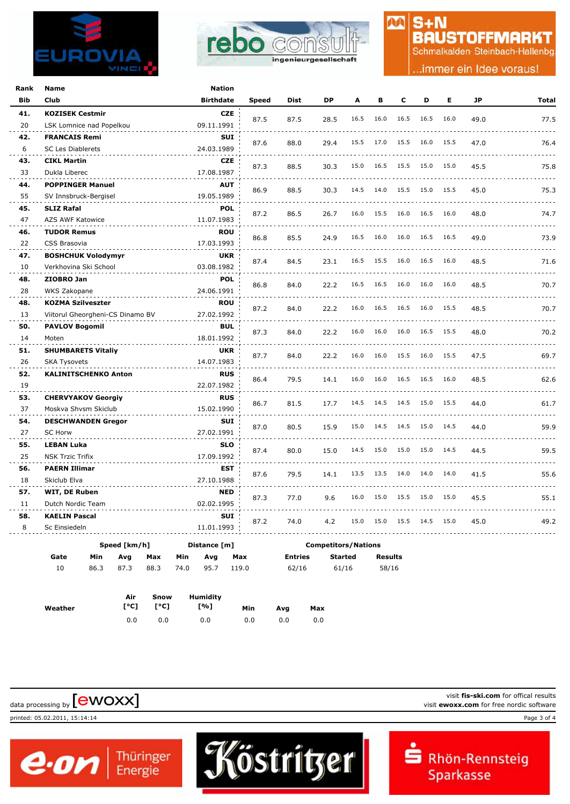



## $S + N$ **BAUSTOFFMARKT**

M

Schmalkalden Steinbach-Hallenbg

.immer ein Idee voraus!

| Rank       | Name                             | Nation           |              |             |                            |      |      |      |      |      |           |              |
|------------|----------------------------------|------------------|--------------|-------------|----------------------------|------|------|------|------|------|-----------|--------------|
| <b>Bib</b> | Club                             | <b>Birthdate</b> | <b>Speed</b> | <b>Dist</b> | <b>DP</b>                  | A    | в    | C    | D    | Е    | <b>JP</b> | <b>Total</b> |
| 41.        | <b>KOZISEK Cestmir</b>           | <b>CZE</b>       |              |             |                            | 16.5 | 16.0 | 16.5 | 16.5 | 16.0 |           |              |
| 20         | LSK Lomnice nad Popelkou         | 09.11.1991       | 87.5         | 87.5        | 28.5                       |      |      |      |      |      | 49.0      | 77.5         |
| 42.        | <b>FRANCAIS Remi</b>             | <b>SUI</b>       | 87.6         | 88.0        | 29.4                       | 15.5 | 17.0 | 15.5 | 16.0 | 15.5 | 47.0      | 76.4         |
| 6          | <b>SC Les Diablerets</b>         | 24.03.1989       |              |             |                            |      |      |      |      |      |           |              |
| 43.        | <b>CIKL Martin</b>               | <b>CZE</b>       | 87.3         | 88.5        | 30.3                       | 15.0 | 16.5 | 15.5 | 15.0 | 15.0 | 45.5      | 75.8         |
| 33         | Dukla Liberec                    | 17.08.1987       |              |             |                            |      |      |      |      |      |           |              |
| 44.        | <b>POPPINGER Manuel</b>          | <b>AUT</b>       | 86.9         | 88.5        | 30.3                       | 14.5 | 14.0 | 15.5 | 15.0 | 15.5 | 45.0      | 75.3         |
| 55         | SV Innsbruck-Bergisel            | 19.05.1989       |              |             |                            |      |      |      |      |      |           |              |
| 45.        | <b>SLIZ Rafal</b>                | <b>POL</b>       | 87.2         | 86.5        | 26.7                       | 16.0 | 15.5 | 16.0 | 16.5 | 16.0 | 48.0      | 74.7         |
| 47         | AZS AWF Katowice                 | 11.07.1983       |              |             |                            |      |      |      |      |      |           |              |
| 46.        | <b>TUDOR Remus</b>               | <b>ROU</b>       | 86.8         | 85.5        | 24.9                       | 16.5 | 16.0 | 16.0 | 16.5 | 16.5 | 49.0      | 73.9         |
| 22         | CSS Brasovia                     | 17.03.1993       |              |             |                            |      |      |      |      |      |           |              |
| 47.        | <b>BOSHCHUK Volodymyr</b>        | <b>UKR</b>       | 87.4         | 84.5        | 23.1                       | 16.5 | 15.5 | 16.0 | 16.5 | 16.0 | 48.5      | 71.6         |
| 10         | Verkhovina Ski School            | 03.08.1982       |              |             |                            |      |      |      |      |      |           |              |
| 48.        | ZIOBRO Jan                       | <b>POL</b>       | 86.8         | 84.0        | 22.2                       | 16.5 | 16.5 | 16.0 | 16.0 | 16.0 | 48.5      | 70.7         |
| 28         | WKS Zakopane                     | 24.06.1991       |              |             |                            |      |      |      |      |      |           |              |
| 48.        | <b>KOZMA Szilveszter</b>         | <b>ROU</b>       | 87.2         | 84.0        | 22.2                       | 16.0 | 16.5 | 16.5 | 16.0 | 15.5 | 48.5      | 70.7         |
| 13         | Viitorul Gheorgheni-CS Dinamo BV | 27.02.1992       |              |             |                            |      |      |      |      |      |           |              |
| 50.        | <b>PAVLOV Bogomil</b>            | <b>BUL</b>       | 87.3         | 84.0        | 22.2                       | 16.0 | 16.0 | 16.0 | 16.5 | 15.5 | 48.0      | 70.2         |
| 14         | Moten                            | 18.01.1992       |              |             |                            |      |      |      |      |      |           |              |
| 51.        | <b>SHUMBARETS Vitaliy</b>        | <b>UKR</b>       | 87.7         | 84.0        | 22.2                       | 16.0 | 16.0 | 15.5 | 16.0 | 15.5 | 47.5      | 69.7         |
| 26         | <b>SKA Tysovets</b>              | 14.07.1983       |              |             |                            |      |      |      |      |      |           |              |
| 52.        | <b>KALINITSCHENKO Anton</b>      | <b>RUS</b>       | 86.4         | 79.5        | 14.1                       | 16.0 | 16.0 | 16.5 | 16.5 | 16.0 | 48.5      | 62.6         |
| 19         |                                  | 22.07.1982       |              |             |                            |      |      |      |      |      |           |              |
| 53.        | <b>CHERVYAKOV Georgiy</b>        | <b>RUS</b>       | 86.7         | 81.5        | 17.7                       | 14.5 | 14.5 | 14.5 | 15.0 | 15.5 | 44.0      | 61.7         |
| 37         | Moskva Shvsm Skiclub             | 15.02.1990       |              |             |                            |      |      |      |      |      |           |              |
| 54.        | <b>DESCHWANDEN Gregor</b>        | <b>SUI</b>       | 87.0         | 80.5        | 15.9                       | 15.0 | 14.5 | 14.5 | 15.0 | 14.5 | 44.0      | 59.9         |
| 27         | <b>SC Horw</b>                   | 27.02.1991       |              |             |                            |      |      |      |      |      |           |              |
| 55.        | <b>LEBAN Luka</b>                | <b>SLO</b>       | 87.4         | 80.0        | 15.0                       | 14.5 | 15.0 | 15.0 | 15.0 | 14.5 | 44.5      | 59.5         |
| 25         | <b>NSK Trzic Trifix</b>          | 17.09.1992       |              |             |                            |      |      |      |      |      |           |              |
| 56.        | <b>PAERN Illimar</b>             | EST              | 87.6         | 79.5        | 14.1                       | 13.5 | 13.5 | 14.0 | 14.0 | 14.0 | 41.5      | 55.6         |
| 18         | Skiclub Elva                     | 27.10.1988       |              |             |                            |      |      |      |      |      |           |              |
| 57.        | WIT, DE Ruben                    | <b>NED</b>       | 87.3         | 77.0        | 9.6                        | 16.0 | 15.0 | 15.5 | 15.0 | 15.0 | 45.5      | 55.1         |
| 11         | Dutch Nordic Team                | 02.02.1995       |              |             |                            |      |      |      |      |      |           |              |
| 58.        | <b>KAELIN Pascal</b>             | <b>SUI</b>       | 87.2         | 74.0        | 4.2                        | 15.0 | 15.0 | 15.5 | 14.5 | 15.0 | 45.0      | 49.2         |
| 8          | Sc Einsiedeln                    | 11.01.1993       |              |             |                            |      |      |      |      |      |           |              |
|            | Speed [km/h]                     | Distance [m]     |              |             | <b>Competitors/Nations</b> |      |      |      |      |      |           |              |
|            |                                  |                  |              |             |                            |      |      |      |      |      |           |              |

Köstritzer

| Gate | Min | Avg | Max                 | Min | Ava        | Max | Entries | Started | Results |
|------|-----|-----|---------------------|-----|------------|-----|---------|---------|---------|
| 10   |     |     | 86.3 87.3 88.3 74.0 |     | 95.7 119.0 |     | 62/16   | 61/16   | 58/16   |
|      |     |     |                     |     |            |     |         |         |         |

|         | Air | Snow       | Humidity |     |     |     |
|---------|-----|------------|----------|-----|-----|-----|
| Weather |     | [°C]  [°C] | [%]      | Min | Ava | Max |
|         | 0.0 | 0.0        | 0.0      | 0.0 | 0.0 | 0.0 |

 $\boldsymbol{e}$  on  $\vert$ <sup>Thüringer</sup>

printed: 05.02.2011, 15:14:14 Page 3 of 4

visit **fis-ski.com** for offical results visit fis-ski.com for offical results<br>visit **ewoxx.com** for free nordic software<br>visit **ewoxx.com** for free nordic software